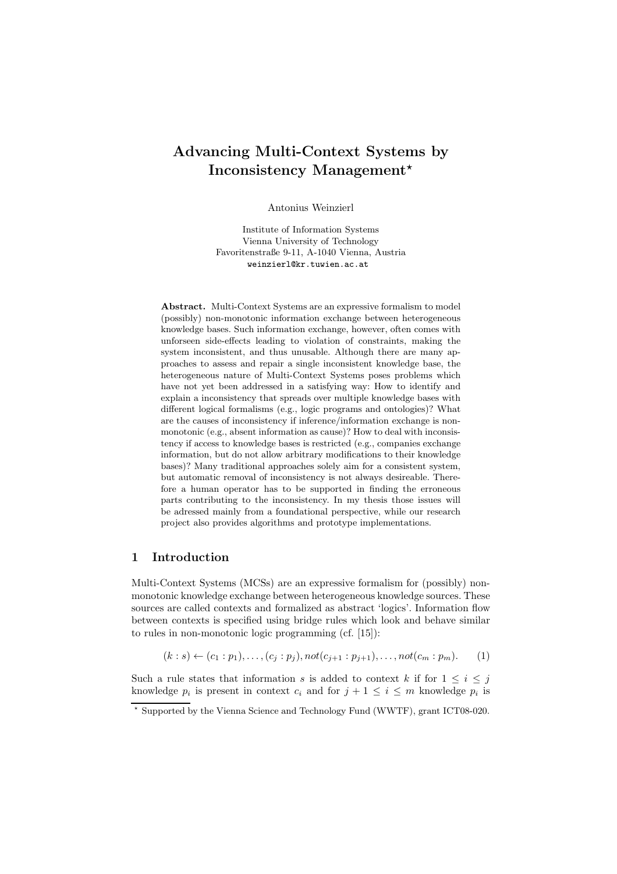# Advancing Multi-Context Systems by Inconsistency Management<sup>\*</sup>

Antonius Weinzierl

Institute of Information Systems Vienna University of Technology Favoritenstraße 9-11, A-1040 Vienna, Austria weinzierl@kr.tuwien.ac.at

Abstract. Multi-Context Systems are an expressive formalism to model (possibly) non-monotonic information exchange between heterogeneous knowledge bases. Such information exchange, however, often comes with unforseen side-effects leading to violation of constraints, making the system inconsistent, and thus unusable. Although there are many approaches to assess and repair a single inconsistent knowledge base, the heterogeneous nature of Multi-Context Systems poses problems which have not yet been addressed in a satisfying way: How to identify and explain a inconsistency that spreads over multiple knowledge bases with different logical formalisms (e.g., logic programs and ontologies)? What are the causes of inconsistency if inference/information exchange is nonmonotonic (e.g., absent information as cause)? How to deal with inconsistency if access to knowledge bases is restricted (e.g., companies exchange information, but do not allow arbitrary modifications to their knowledge bases)? Many traditional approaches solely aim for a consistent system, but automatic removal of inconsistency is not always desireable. Therefore a human operator has to be supported in finding the erroneous parts contributing to the inconsistency. In my thesis those issues will be adressed mainly from a foundational perspective, while our research project also provides algorithms and prototype implementations.

#### 1 Introduction

Multi-Context Systems (MCSs) are an expressive formalism for (possibly) nonmonotonic knowledge exchange between heterogeneous knowledge sources. These sources are called contexts and formalized as abstract 'logics'. Information flow between contexts is specified using bridge rules which look and behave similar to rules in non-monotonic logic programming (cf. [15]):

$$
(k:s) \leftarrow (c_1:p_1), \dots, (c_j:p_j), not(c_{j+1}:p_{j+1}), \dots, not(c_m:p_m). \tag{1}
$$

Such a rule states that information s is added to context k if for  $1 \leq i \leq j$ knowledge  $p_i$  is present in context  $c_i$  and for  $j + 1 \leq i \leq m$  knowledge  $p_i$  is

<sup>!</sup> Supported by the Vienna Science and Technology Fund (WWTF), grant ICT08-020.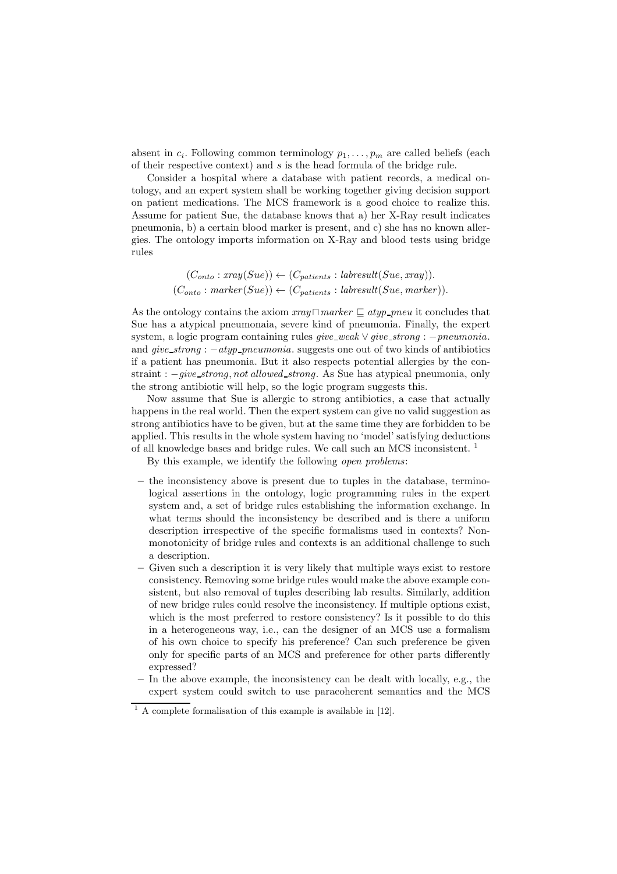absent in  $c_i$ . Following common terminology  $p_1, \ldots, p_m$  are called beliefs (each of their respective context) and s is the head formula of the bridge rule.

Consider a hospital where a database with patient records, a medical ontology, and an expert system shall be working together giving decision support on patient medications. The MCS framework is a good choice to realize this. Assume for patient Sue, the database knows that a) her X-Ray result indicates pneumonia, b) a certain blood marker is present, and c) she has no known allergies. The ontology imports information on X-Ray and blood tests using bridge rules

$$
(C_{onto}: xray(Sue)) \leftarrow (C_{patients}: labresult(Sue, xray)).
$$
  

$$
(C_{onto}: marker(Sue)) \leftarrow (C_{patients}: labresult(Sue, marker)).
$$

As the ontology contains the axiom  $\text{tray} \sqcap \text{marker} \sqsubset \text{atyp\_pneu}$  it concludes that Sue has a atypical pneumonaia, severe kind of pneumonia. Finally, the expert system, a logic program containing rules  $give\_weak \vee give\_strong : -pneumonia$ . and *give\_strong* :  $-atyp\_pneumonia$ . suggests one out of two kinds of antibiotics if a patient has pneumonia. But it also respects potential allergies by the constraint : −give\_strong, not allowed\_strong. As Sue has atypical pneumonia, only the strong antibiotic will help, so the logic program suggests this.

Now assume that Sue is allergic to strong antibiotics, a case that actually happens in the real world. Then the expert system can give no valid suggestion as strong antibiotics have to be given, but at the same time they are forbidden to be applied. This results in the whole system having no 'model' satisfying deductions of all knowledge bases and bridge rules. We call such an MCS inconsistent. <sup>1</sup>

By this example, we identify the following open problems:

- the inconsistency above is present due to tuples in the database, terminological assertions in the ontology, logic programming rules in the expert system and, a set of bridge rules establishing the information exchange. In what terms should the inconsistency be described and is there a uniform description irrespective of the specific formalisms used in contexts? Nonmonotonicity of bridge rules and contexts is an additional challenge to such a description.
- Given such a description it is very likely that multiple ways exist to restore consistency. Removing some bridge rules would make the above example consistent, but also removal of tuples describing lab results. Similarly, addition of new bridge rules could resolve the inconsistency. If multiple options exist, which is the most preferred to restore consistency? Is it possible to do this in a heterogeneous way, i.e., can the designer of an MCS use a formalism of his own choice to specify his preference? Can such preference be given only for specific parts of an MCS and preference for other parts differently expressed?
- In the above example, the inconsistency can be dealt with locally, e.g., the expert system could switch to use paracoherent semantics and the MCS

 $1 \text{ A complete formalisation of this example is available in } [12].$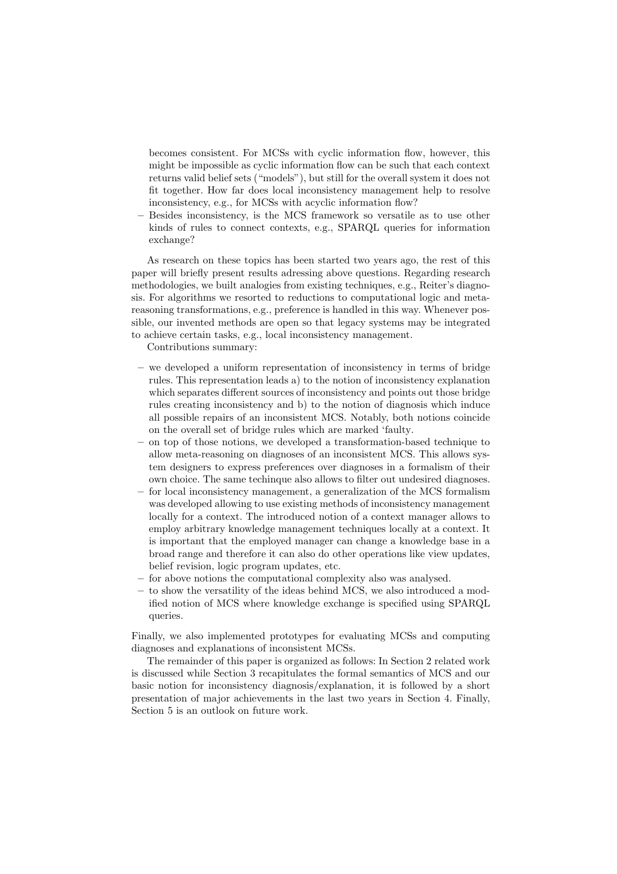becomes consistent. For MCSs with cyclic information flow, however, this might be impossible as cyclic information flow can be such that each context returns valid belief sets ("models"), but still for the overall system it does not fit together. How far does local inconsistency management help to resolve inconsistency, e.g., for MCSs with acyclic information flow?

– Besides inconsistency, is the MCS framework so versatile as to use other kinds of rules to connect contexts, e.g., SPARQL queries for information exchange?

As research on these topics has been started two years ago, the rest of this paper will briefly present results adressing above questions. Regarding research methodologies, we built analogies from existing techniques, e.g., Reiter's diagnosis. For algorithms we resorted to reductions to computational logic and metareasoning transformations, e.g., preference is handled in this way. Whenever possible, our invented methods are open so that legacy systems may be integrated to achieve certain tasks, e.g., local inconsistency management.

Contributions summary:

- we developed a uniform representation of inconsistency in terms of bridge rules. This representation leads a) to the notion of inconsistency explanation which separates different sources of inconsistency and points out those bridge rules creating inconsistency and b) to the notion of diagnosis which induce all possible repairs of an inconsistent MCS. Notably, both notions coincide on the overall set of bridge rules which are marked 'faulty.
- on top of those notions, we developed a transformation-based technique to allow meta-reasoning on diagnoses of an inconsistent MCS. This allows system designers to express preferences over diagnoses in a formalism of their own choice. The same techinque also allows to filter out undesired diagnoses.
- for local inconsistency management, a generalization of the MCS formalism was developed allowing to use existing methods of inconsistency management locally for a context. The introduced notion of a context manager allows to employ arbitrary knowledge management techniques locally at a context. It is important that the employed manager can change a knowledge base in a broad range and therefore it can also do other operations like view updates, belief revision, logic program updates, etc.
- for above notions the computational complexity also was analysed.
- to show the versatility of the ideas behind MCS, we also introduced a modified notion of MCS where knowledge exchange is specified using SPARQL queries.

Finally, we also implemented prototypes for evaluating MCSs and computing diagnoses and explanations of inconsistent MCSs.

The remainder of this paper is organized as follows: In Section 2 related work is discussed while Section 3 recapitulates the formal semantics of MCS and our basic notion for inconsistency diagnosis/explanation, it is followed by a short presentation of major achievements in the last two years in Section 4. Finally, Section 5 is an outlook on future work.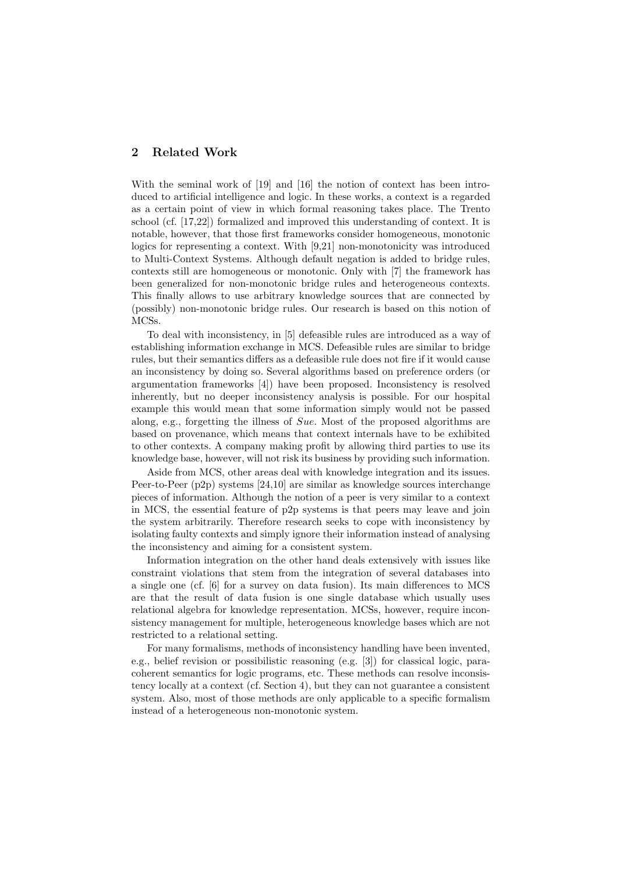## 2 Related Work

With the seminal work of [19] and [16] the notion of context has been introduced to artificial intelligence and logic. In these works, a context is a regarded as a certain point of view in which formal reasoning takes place. The Trento school (cf. [17,22]) formalized and improved this understanding of context. It is notable, however, that those first frameworks consider homogeneous, monotonic logics for representing a context. With [9,21] non-monotonicity was introduced to Multi-Context Systems. Although default negation is added to bridge rules, contexts still are homogeneous or monotonic. Only with [7] the framework has been generalized for non-monotonic bridge rules and heterogeneous contexts. This finally allows to use arbitrary knowledge sources that are connected by (possibly) non-monotonic bridge rules. Our research is based on this notion of MCSs.

To deal with inconsistency, in [5] defeasible rules are introduced as a way of establishing information exchange in MCS. Defeasible rules are similar to bridge rules, but their semantics differs as a defeasible rule does not fire if it would cause an inconsistency by doing so. Several algorithms based on preference orders (or argumentation frameworks [4]) have been proposed. Inconsistency is resolved inherently, but no deeper inconsistency analysis is possible. For our hospital example this would mean that some information simply would not be passed along, e.g., forgetting the illness of Sue. Most of the proposed algorithms are based on provenance, which means that context internals have to be exhibited to other contexts. A company making profit by allowing third parties to use its knowledge base, however, will not risk its business by providing such information.

Aside from MCS, other areas deal with knowledge integration and its issues. Peer-to-Peer (p2p) systems [24,10] are similar as knowledge sources interchange pieces of information. Although the notion of a peer is very similar to a context in MCS, the essential feature of p2p systems is that peers may leave and join the system arbitrarily. Therefore research seeks to cope with inconsistency by isolating faulty contexts and simply ignore their information instead of analysing the inconsistency and aiming for a consistent system.

Information integration on the other hand deals extensively with issues like constraint violations that stem from the integration of several databases into a single one (cf. [6] for a survey on data fusion). Its main differences to MCS are that the result of data fusion is one single database which usually uses relational algebra for knowledge representation. MCSs, however, require inconsistency management for multiple, heterogeneous knowledge bases which are not restricted to a relational setting.

For many formalisms, methods of inconsistency handling have been invented, e.g., belief revision or possibilistic reasoning (e.g. [3]) for classical logic, paracoherent semantics for logic programs, etc. These methods can resolve inconsistency locally at a context (cf. Section 4), but they can not guarantee a consistent system. Also, most of those methods are only applicable to a specific formalism instead of a heterogeneous non-monotonic system.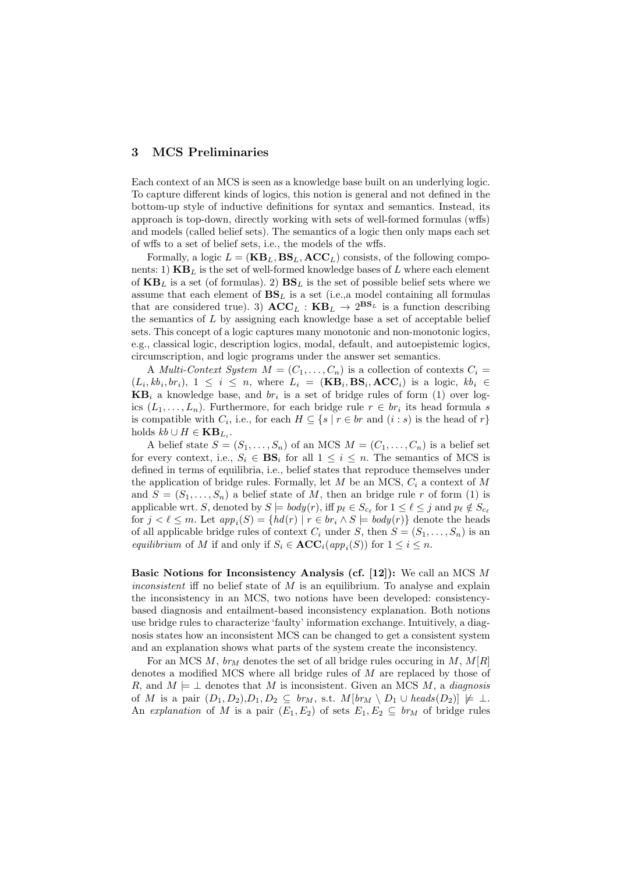## 3 MCS Preliminaries

Each context of an MCS is seen as a knowledge base built on an underlying logic. To capture different kinds of logics, this notion is general and not defined in the bottom-up style of inductive definitions for syntax and semantics. Instead, its approach is top-down, directly working with sets of well-formed formulas (wffs) and models (called belief sets). The semantics of a logic then only maps each set of wffs to a set of belief sets, i.e., the models of the wffs.

Formally, a logic  $L = (KB_L, BS_L, ACC_L)$  consists, of the following components: 1)  $KB_L$  is the set of well-formed knowledge bases of L where each element of  $KB_L$  is a set (of formulas). 2)  $BS_L$  is the set of possible belief sets where we assume that each element of  $\mathbf{BS}_L$  is a set (i.e., a model containing all formulas that are considered true). 3)  $\mathbf{ACC}_L : \mathbf{KB}_L \rightarrow 2^{\mathbf{BS}_L}$  is a function describing the semantics of L by assigning each knowledge base a set of acceptable belief sets. This concept of a logic captures many monotonic and non-monotonic logics, e.g., classical logic, description logics, modal, default, and autoepistemic logics, circumscription, and logic programs under the answer set semantics.

A Multi-Context System  $M = (C_1, \ldots, C_n)$  is a collection of contexts  $C_i =$  $(L_i, kb_i, br_i), 1 \leq i \leq n$ , where  $L_i = (\mathbf{KB}_i, \mathbf{BS}_i, \mathbf{ACC}_i)$  is a logic,  $kb_i \in$  $KB_i$  a knowledge base, and  $br_i$  is a set of bridge rules of form (1) over logics  $(L_1,\ldots,L_n)$ . Furthermore, for each bridge rule  $r \in br_i$  its head formula s is compatible with  $C_i$ , i.e., for each  $H \subseteq \{s \mid r \in br$  and  $(i : s)$  is the head of r holds  $kb \cup H \in \mathbf{KB}_{L_i}$ .

A belief state  $S = (S_1, \ldots, S_n)$  of an MCS  $M = (C_1, \ldots, C_n)$  is a belief set for every context, i.e.,  $S_i \in \mathbf{BS}_i$  for all  $1 \leq i \leq n$ . The semantics of MCS is defined in terms of equilibria, i.e., belief states that reproduce themselves under the application of bridge rules. Formally, let  $M$  be an MCS,  $C_i$  a context of  $M$ and  $S = (S_1, \ldots, S_n)$  a belief state of M, then an bridge rule r of form (1) is applicable wrt. S, denoted by  $S \models body(r)$ , iff  $p_\ell \in S_{c_\ell}$  for  $1 \leq \ell \leq j$  and  $p_\ell \notin S_{c_\ell}$ for  $j < \ell \leq m$ . Let  $app_i(S) = \{ hd(r) | r \in br_i \land S \models body(r) \}$  denote the heads of all applicable bridge rules of context  $C_i$  under S, then  $S = (S_1, \ldots, S_n)$  is an equilibrium of M if and only if  $S_i \in \text{ACC}_i(\text{app}_i(S))$  for  $1 \leq i \leq n$ .

Basic Notions for Inconsistency Analysis (cf. [12]): We call an MCS  $M$ inconsistent iff no belief state of  $M$  is an equilibrium. To analyse and explain the inconsistency in an MCS, two notions have been developed: consistencybased diagnosis and entailment-based inconsistency explanation. Both notions use bridge rules to characterize 'faulty' information exchange. Intuitively, a diagnosis states how an inconsistent MCS can be changed to get a consistent system and an explanation shows what parts of the system create the inconsistency.

For an MCS M,  $br_M$  denotes the set of all bridge rules occuring in M,  $M[R]$ denotes a modified MCS where all bridge rules of M are replaced by those of R, and  $M \models \bot$  denotes that M is inconsistent. Given an MCS M, a *diagnosis* of M is a pair  $(D_1, D_2), D_1, D_2 \subseteq br_M$ , s.t.  $M[br_M \setminus D_1 \cup heads(D_2)] \not\models \perp$ . An explanation of M is a pair  $(E_1, E_2)$  of sets  $E_1, E_2 \subseteq br_M$  of bridge rules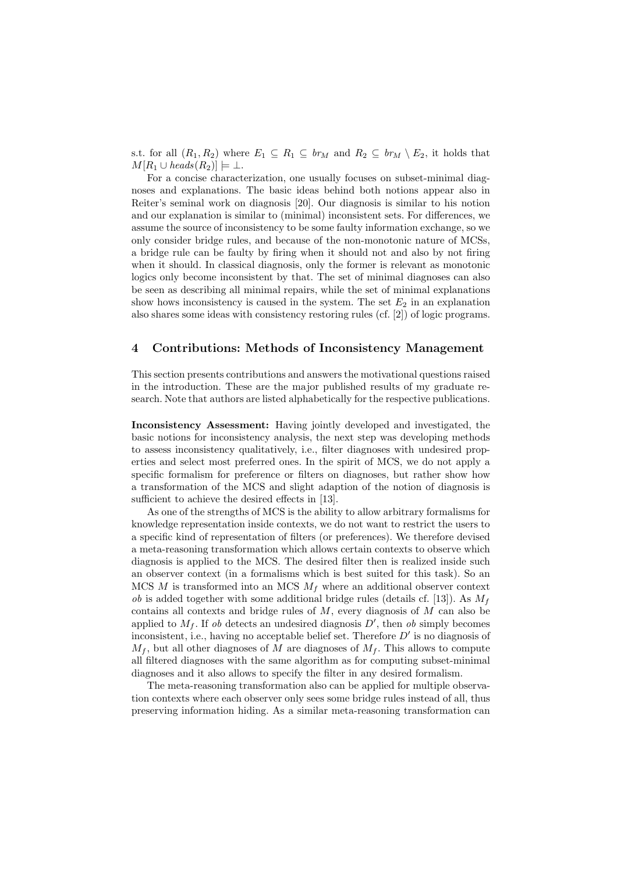s.t. for all  $(R_1, R_2)$  where  $E_1 \subseteq R_1 \subseteq br_M$  and  $R_2 \subseteq br_M \setminus E_2$ , it holds that  $M[R_1 \cup heads(R_2)] \models \bot.$ 

For a concise characterization, one usually focuses on subset-minimal diagnoses and explanations. The basic ideas behind both notions appear also in Reiter's seminal work on diagnosis [20]. Our diagnosis is similar to his notion and our explanation is similar to (minimal) inconsistent sets. For differences, we assume the source of inconsistency to be some faulty information exchange, so we only consider bridge rules, and because of the non-monotonic nature of MCSs, a bridge rule can be faulty by firing when it should not and also by not firing when it should. In classical diagnosis, only the former is relevant as monotonic logics only become inconsistent by that. The set of minimal diagnoses can also be seen as describing all minimal repairs, while the set of minimal explanations show hows inconsistency is caused in the system. The set  $E_2$  in an explanation also shares some ideas with consistency restoring rules (cf. [2]) of logic programs.

# 4 Contributions: Methods of Inconsistency Management

This section presents contributions and answers the motivational questions raised in the introduction. These are the major published results of my graduate research. Note that authors are listed alphabetically for the respective publications.

Inconsistency Assessment: Having jointly developed and investigated, the basic notions for inconsistency analysis, the next step was developing methods to assess inconsistency qualitatively, i.e., filter diagnoses with undesired properties and select most preferred ones. In the spirit of MCS, we do not apply a specific formalism for preference or filters on diagnoses, but rather show how a transformation of the MCS and slight adaption of the notion of diagnosis is sufficient to achieve the desired effects in [13].

As one of the strengths of MCS is the ability to allow arbitrary formalisms for knowledge representation inside contexts, we do not want to restrict the users to a specific kind of representation of filters (or preferences). We therefore devised a meta-reasoning transformation which allows certain contexts to observe which diagnosis is applied to the MCS. The desired filter then is realized inside such an observer context (in a formalisms which is best suited for this task). So an MCS  $M$  is transformed into an MCS  $M_f$  where an additional observer context *ob* is added together with some additional bridge rules (details cf. [13]). As  $M_f$ contains all contexts and bridge rules of  $M$ , every diagnosis of  $M$  can also be applied to  $M_f$ . If ob detects an undesired diagnosis  $D'$ , then ob simply becomes inconsistent, i.e., having no acceptable belief set. Therefore  $D'$  is no diagnosis of  $M_f$ , but all other diagnoses of M are diagnoses of  $M_f$ . This allows to compute all filtered diagnoses with the same algorithm as for computing subset-minimal diagnoses and it also allows to specify the filter in any desired formalism.

The meta-reasoning transformation also can be applied for multiple observation contexts where each observer only sees some bridge rules instead of all, thus preserving information hiding. As a similar meta-reasoning transformation can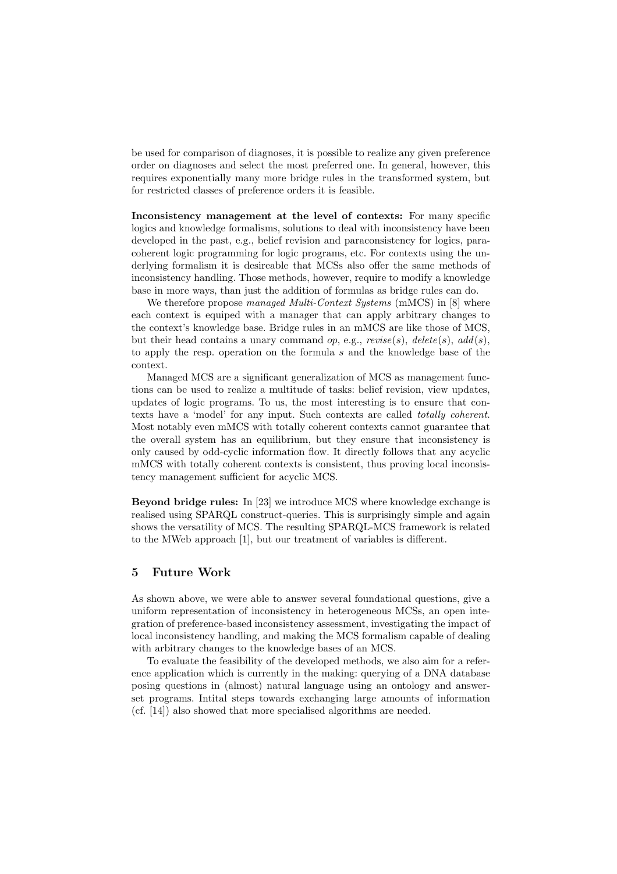be used for comparison of diagnoses, it is possible to realize any given preference order on diagnoses and select the most preferred one. In general, however, this requires exponentially many more bridge rules in the transformed system, but for restricted classes of preference orders it is feasible.

Inconsistency management at the level of contexts: For many specific logics and knowledge formalisms, solutions to deal with inconsistency have been developed in the past, e.g., belief revision and paraconsistency for logics, paracoherent logic programming for logic programs, etc. For contexts using the underlying formalism it is desireable that MCSs also offer the same methods of inconsistency handling. Those methods, however, require to modify a knowledge base in more ways, than just the addition of formulas as bridge rules can do.

We therefore propose managed Multi-Context Systems (mMCS) in [8] where each context is equiped with a manager that can apply arbitrary changes to the context's knowledge base. Bridge rules in an mMCS are like those of MCS, but their head contains a unary command op, e.g.,  $rewise(s)$ ,  $delete(s)$ ,  $add(s)$ , to apply the resp. operation on the formula s and the knowledge base of the context.

Managed MCS are a significant generalization of MCS as management functions can be used to realize a multitude of tasks: belief revision, view updates, updates of logic programs. To us, the most interesting is to ensure that contexts have a 'model' for any input. Such contexts are called totally coherent. Most notably even mMCS with totally coherent contexts cannot guarantee that the overall system has an equilibrium, but they ensure that inconsistency is only caused by odd-cyclic information flow. It directly follows that any acyclic mMCS with totally coherent contexts is consistent, thus proving local inconsistency management sufficient for acyclic MCS.

Beyond bridge rules: In [23] we introduce MCS where knowledge exchange is realised using SPARQL construct-queries. This is surprisingly simple and again shows the versatility of MCS. The resulting SPARQL-MCS framework is related to the MWeb approach [1], but our treatment of variables is different.

#### 5 Future Work

As shown above, we were able to answer several foundational questions, give a uniform representation of inconsistency in heterogeneous MCSs, an open integration of preference-based inconsistency assessment, investigating the impact of local inconsistency handling, and making the MCS formalism capable of dealing with arbitrary changes to the knowledge bases of an MCS.

To evaluate the feasibility of the developed methods, we also aim for a reference application which is currently in the making: querying of a DNA database posing questions in (almost) natural language using an ontology and answerset programs. Intital steps towards exchanging large amounts of information (cf. [14]) also showed that more specialised algorithms are needed.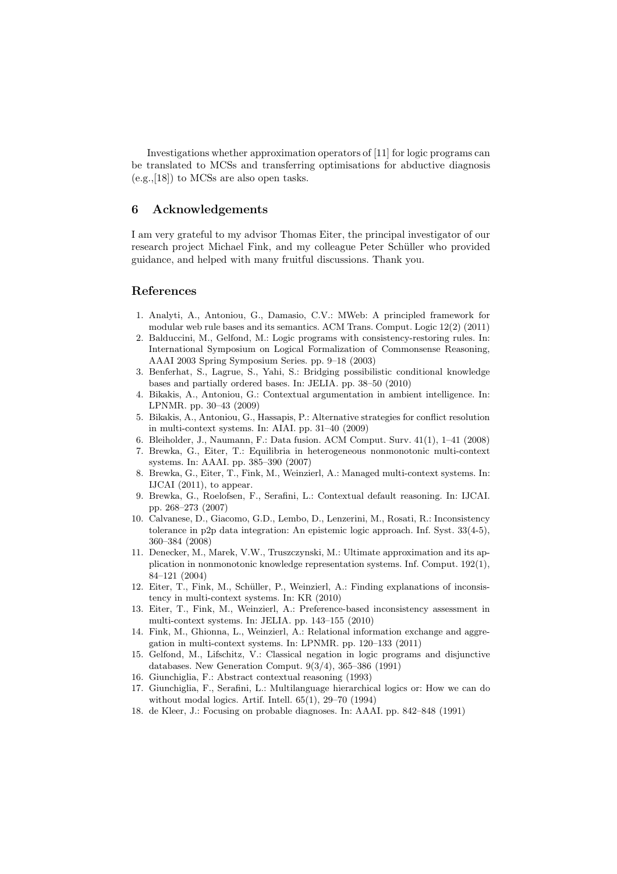Investigations whether approximation operators of [11] for logic programs can be translated to MCSs and transferring optimisations for abductive diagnosis (e.g.,[18]) to MCSs are also open tasks.

## 6 Acknowledgements

I am very grateful to my advisor Thomas Eiter, the principal investigator of our research project Michael Fink, and my colleague Peter Schüller who provided guidance, and helped with many fruitful discussions. Thank you.

### References

- 1. Analyti, A., Antoniou, G., Damasio, C.V.: MWeb: A principled framework for modular web rule bases and its semantics. ACM Trans. Comput. Logic 12(2) (2011)
- 2. Balduccini, M., Gelfond, M.: Logic programs with consistency-restoring rules. In: International Symposium on Logical Formalization of Commonsense Reasoning, AAAI 2003 Spring Symposium Series. pp. 9–18 (2003)
- 3. Benferhat, S., Lagrue, S., Yahi, S.: Bridging possibilistic conditional knowledge bases and partially ordered bases. In: JELIA. pp. 38–50 (2010)
- 4. Bikakis, A., Antoniou, G.: Contextual argumentation in ambient intelligence. In: LPNMR. pp. 30–43 (2009)
- 5. Bikakis, A., Antoniou, G., Hassapis, P.: Alternative strategies for conflict resolution in multi-context systems. In: AIAI. pp. 31–40 (2009)
- 6. Bleiholder, J., Naumann, F.: Data fusion. ACM Comput. Surv. 41(1), 1–41 (2008)
- 7. Brewka, G., Eiter, T.: Equilibria in heterogeneous nonmonotonic multi-context systems. In: AAAI. pp. 385–390 (2007)
- 8. Brewka, G., Eiter, T., Fink, M., Weinzierl, A.: Managed multi-context systems. In: IJCAI (2011), to appear.
- 9. Brewka, G., Roelofsen, F., Serafini, L.: Contextual default reasoning. In: IJCAI. pp. 268–273 (2007)
- 10. Calvanese, D., Giacomo, G.D., Lembo, D., Lenzerini, M., Rosati, R.: Inconsistency tolerance in p2p data integration: An epistemic logic approach. Inf. Syst. 33(4-5), 360–384 (2008)
- 11. Denecker, M., Marek, V.W., Truszczynski, M.: Ultimate approximation and its application in nonmonotonic knowledge representation systems. Inf. Comput. 192(1), 84–121 (2004)
- 12. Eiter, T., Fink, M., Schüller, P., Weinzierl, A.: Finding explanations of inconsistency in multi-context systems. In: KR (2010)
- 13. Eiter, T., Fink, M., Weinzierl, A.: Preference-based inconsistency assessment in multi-context systems. In: JELIA. pp. 143–155 (2010)
- 14. Fink, M., Ghionna, L., Weinzierl, A.: Relational information exchange and aggregation in multi-context systems. In: LPNMR. pp. 120–133 (2011)
- 15. Gelfond, M., Lifschitz, V.: Classical negation in logic programs and disjunctive databases. New Generation Comput. 9(3/4), 365–386 (1991)
- 16. Giunchiglia, F.: Abstract contextual reasoning (1993)
- 17. Giunchiglia, F., Serafini, L.: Multilanguage hierarchical logics or: How we can do without modal logics. Artif. Intell. 65(1), 29–70 (1994)
- 18. de Kleer, J.: Focusing on probable diagnoses. In: AAAI. pp. 842–848 (1991)